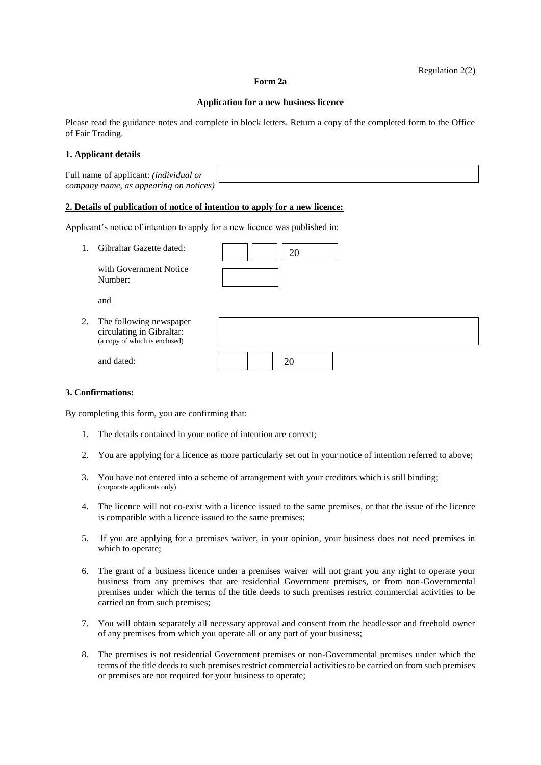### **Form 2a**

#### **Application for a new business licence**

Please read the guidance notes and complete in block letters. Return a copy of the completed form to the Office of Fair Trading.

# **1. Applicant details**

Full name of applicant: *(individual or company name, as appearing on notices)* 

### **2. Details of publication of notice of intention to apply for a new licence:**

Applicant's notice of intention to apply for a new licence was published in:

| 1. | Gibraltar Gazette dated:                                                              | 20 |
|----|---------------------------------------------------------------------------------------|----|
|    | with Government Notice<br>Number:                                                     |    |
|    | and                                                                                   |    |
| 2. | The following newspaper<br>circulating in Gibraltar:<br>(a copy of which is enclosed) |    |
|    | and dated:                                                                            | 20 |

## **3. Confirmations:**

By completing this form, you are confirming that:

- 1. The details contained in your notice of intention are correct;
- 2. You are applying for a licence as more particularly set out in your notice of intention referred to above;
- 3. You have not entered into a scheme of arrangement with your creditors which is still binding; (corporate applicants only)
- 4. The licence will not co-exist with a licence issued to the same premises, or that the issue of the licence is compatible with a licence issued to the same premises;
- 5. If you are applying for a premises waiver, in your opinion, your business does not need premises in which to operate;
- 6. The grant of a business licence under a premises waiver will not grant you any right to operate your business from any premises that are residential Government premises, or from non-Governmental premises under which the terms of the title deeds to such premises restrict commercial activities to be carried on from such premises;
- 7. You will obtain separately all necessary approval and consent from the headlessor and freehold owner of any premises from which you operate all or any part of your business;
- 8. The premises is not residential Government premises or non-Governmental premises under which the terms of the title deeds to such premises restrict commercial activities to be carried on from such premises or premises are not required for your business to operate;